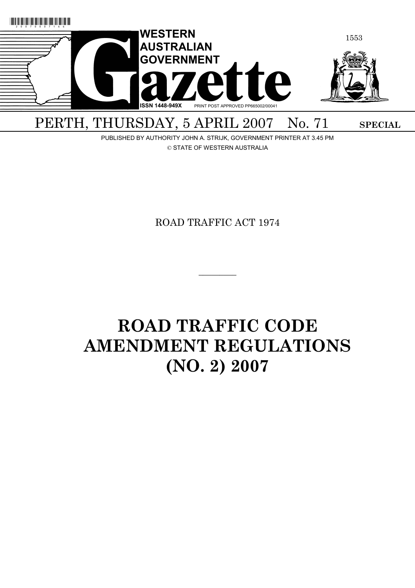

PUBLISHED BY AUTHORITY JOHN A. STRIJK, GOVERNMENT PRINTER AT 3.45 PM © STATE OF WESTERN AUSTRALIA

ROAD TRAFFIC ACT 1974

 $\overline{\phantom{a}}$   $\overline{\phantom{a}}$ 

# **ROAD TRAFFIC CODE AMENDMENT REGULATIONS (NO. 2) 2007**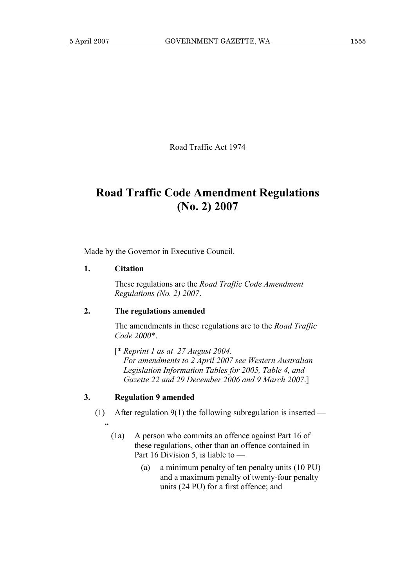Road Traffic Act 1974

## **Road Traffic Code Amendment Regulations (No. 2) 2007**

Made by the Governor in Executive Council.

#### **1. Citation**

.<br>د

 These regulations are the *Road Traffic Code Amendment Regulations (No. 2) 2007*.

#### **2. The regulations amended**

 The amendments in these regulations are to the *Road Traffic Code 2000*\*.

 [\* *Reprint 1 as at 27 August 2004. For amendments to 2 April 2007 see Western Australian Legislation Information Tables for 2005, Table 4, and Gazette 22 and 29 December 2006 and 9 March 2007*.]

#### **3. Regulation 9 amended**

- (1) After regulation  $9(1)$  the following subregulation is inserted
	- (1a) A person who commits an offence against Part 16 of these regulations, other than an offence contained in Part 16 Division 5, is liable to —
		- (a) a minimum penalty of ten penalty units (10 PU) and a maximum penalty of twenty-four penalty units (24 PU) for a first offence; and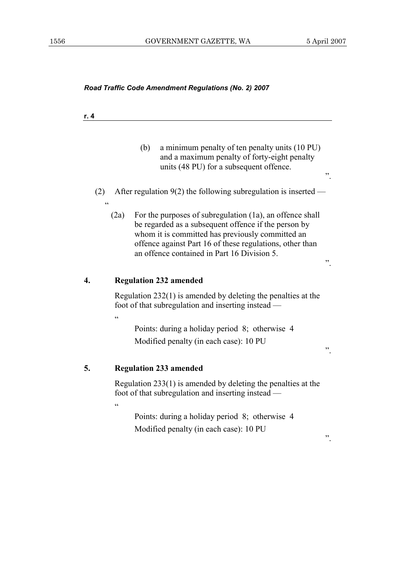| Road Traffic Code Amendment Regulations (No. 2) 2007 |  |
|------------------------------------------------------|--|
|------------------------------------------------------|--|

| r. 4 |                                                                                                                                                                                                                                                                                         |    |
|------|-----------------------------------------------------------------------------------------------------------------------------------------------------------------------------------------------------------------------------------------------------------------------------------------|----|
|      | (b)<br>a minimum penalty of ten penalty units (10 PU)<br>and a maximum penalty of forty-eight penalty<br>units (48 PU) for a subsequent offence.                                                                                                                                        | ,, |
| (2)  | After regulation $9(2)$ the following subregulation is inserted -<br>$\epsilon$                                                                                                                                                                                                         |    |
|      | For the purposes of subregulation (1a), an offence shall<br>(2a)<br>be regarded as a subsequent offence if the person by<br>whom it is committed has previously committed an<br>offence against Part 16 of these regulations, other than<br>an offence contained in Part 16 Division 5. | ,, |
| 4.   | <b>Regulation 232 amended</b>                                                                                                                                                                                                                                                           |    |
|      | Regulation $232(1)$ is amended by deleting the penalties at the<br>foot of that subregulation and inserting instead —<br>C                                                                                                                                                              |    |
|      | Points: during a holiday period 8; otherwise 4                                                                                                                                                                                                                                          |    |
|      | Modified penalty (in each case): 10 PU                                                                                                                                                                                                                                                  | ,, |
| 5.   | <b>Regulation 233 amended</b>                                                                                                                                                                                                                                                           |    |
|      | Regulation $233(1)$ is amended by deleting the penalties at the<br>foot of that subregulation and inserting instead —<br>$\epsilon$                                                                                                                                                     |    |
|      | Points: during a holiday period 8; otherwise 4<br>Modified penalty (in each case): 10 PU                                                                                                                                                                                                | ,, |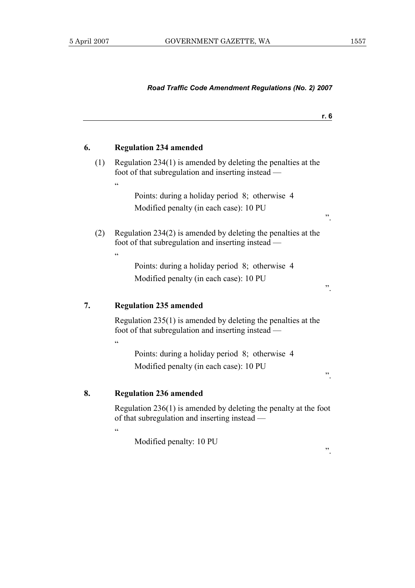### *Road Traffic Code Amendment Regulations (No. 2) 2007*

|    |     |                                                                                                                                     | r. 6 |
|----|-----|-------------------------------------------------------------------------------------------------------------------------------------|------|
| 6. |     | <b>Regulation 234 amended</b>                                                                                                       |      |
|    | (1) | Regulation $234(1)$ is amended by deleting the penalties at the<br>foot of that subregulation and inserting instead —<br>$\epsilon$ |      |
|    |     | Points: during a holiday period 8; otherwise 4                                                                                      |      |
|    |     | Modified penalty (in each case): 10 PU                                                                                              | , 2  |
|    | (2) | Regulation $234(2)$ is amended by deleting the penalties at the<br>foot of that subregulation and inserting instead —<br>$\epsilon$ |      |
|    |     | Points: during a holiday period 8; otherwise 4                                                                                      |      |
|    |     | Modified penalty (in each case): 10 PU                                                                                              | ,,   |
| 7. |     | <b>Regulation 235 amended</b>                                                                                                       |      |
|    |     | Regulation $235(1)$ is amended by deleting the penalties at the<br>foot of that subregulation and inserting instead —<br>$\epsilon$ |      |
|    |     | Points: during a holiday period 8; otherwise 4                                                                                      |      |
|    |     | Modified penalty (in each case): 10 PU                                                                                              | ,,   |
| 8. |     | <b>Regulation 236 amended</b>                                                                                                       |      |
|    |     | Regulation $236(1)$ is amended by deleting the penalty at the foot<br>of that subregulation and inserting instead —<br>$\epsilon$   |      |

Modified penalty: 10 PU

".